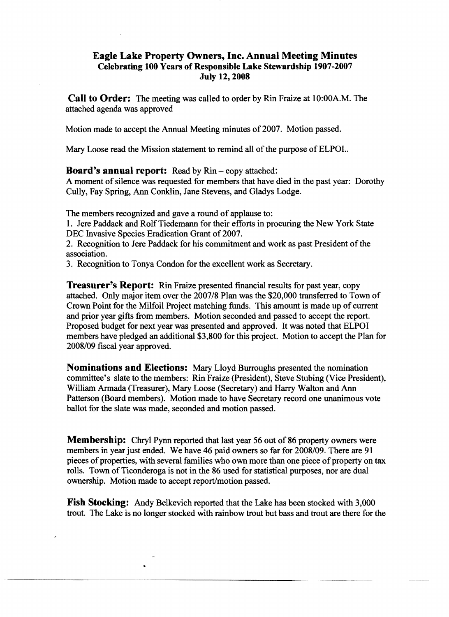## **Eagle Lake Property Owners, Inc. Annual Meeting Minutes Celebrating 100 Years** of Responsible **Lake Stewardship 1907-2007 July 12, 2008**

**Call to Order:** The meeting was called to order by Rin Fraize at 10:00A.M. The attached agenda was approved

Motion made to accept the Annual Meeting minutes of 2007. Motion passed.

Mary Loose read the Mission statement to remind all of the purpose of ELPOI..

**Board's annual report:** Read by Rin – copy attached:

A moment of silence was requested for members that have died in the past year: Dorothy Cully, Fay Spring, Ann Conklin, Jane Stevens, and Gladys Lodge.

The members recognized and gave a round of applause to:

1. Jere Paddack and RolfTiedemann for their efforts in procuring the New York State DEC Invasive Species Eradication Grant of 2007.

2. Recognition to Jere Paddack for his commitment and work as past President of the association.

3. Recognition to Tonya Condon for the excellent work as Secretary.

**Treasurer's Report:** Rin Fraize presented financial results for past year, copy attached. Only major item over the 2007/8 Plan was the \$20,000 transferred to Town of Crown Point for the Milfoil Project matching funds. This amount is made up of current and prior year gifts from members. Motion seconded and passed to accept the report. Proposed budget for next year was presented and approved. It was noted that ELPOI members have pledged an additional \$3,800 for this project. Motion to accept the Plan for 2008/09 fiscal year approved.

**Nominations and Elections:** Mary Lloyd Burroughs presented the nomination committee's slate to the members: Rin Fraize (President), Steve Stubing (Vice President), William Armada (Treasurer), Mary Loose (Secretary) and Harry Walton and Ann Patterson (Board members). Motion made to have Secretary record one unanimous vote ballot for the slate was made, seconded and motion passed.

**Membership:** Chryl Pynn reported that last year 56 out of 86 property owners were members in year just ended. We have 46 paid owners so far for 2008/09. There are 91 pieces of properties, with several families who own more than one piece of property on tax rolls. Town of Ticonderoga is not in the 86 used for statistical purposes, nor are dual ownership. Motion made to accept report/motion passed.

**Fish Stocking:** Andy Belkevich reported that the Lake has been stocked with 3,000 trout. The Lake is no longer stocked with rainbow trout but bass and trout are there for the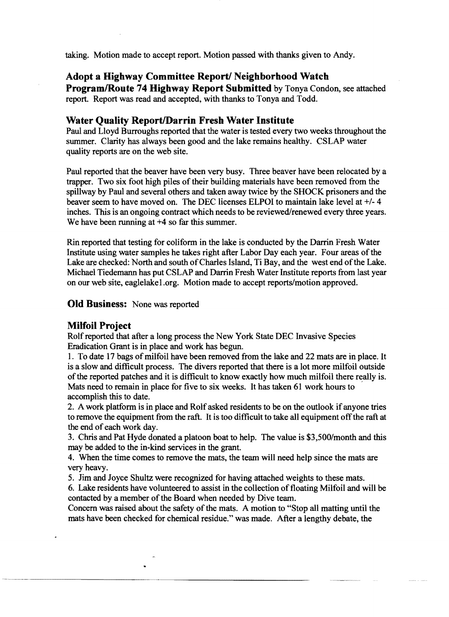taking. Motion made to accept report. Motion passed with thanks given to Andy.

# **Adopt a Highway Committee Report/ Neighborhood Watch**

**Program/Route 74 Highway Report Submitted** by Tonya Condon, see attached report. Report was read and accepted, with thanks to Tonya and Todd.

### **Water Quality Report/Darrin Fresh Water Institute**

Paul and Lloyd Burroughs reported that the water is tested every two weeks throughout the summer. Clarity has always been good and the lake remains healthy. CSLAP water quality reports are on the web site.

Paul reported that the beaver have been very busy. Three beaver have been relocated by a trapper. Two six foot high piles of their building materials have been removed from the spillway by Paul and several others and taken away twice by the SHOCK prisoners and the beaver seem to have moved on. The DEC licenses ELPOI to maintain lake level at +/- 4 inches. This is an ongoing contract which needs to be reviewed/renewed every three years. We have been running at  $+4$  so far this summer.

Rin reported that testing for coliform in the lake is conducted by the Darrin Fresh Water Institute using water samples he takes right after Labor Day each year. Four areas of the Lake are checked: North and south of Charles Island, Ti Bay, and the west end of the Lake. Michael Tiedemann has put CSLAP and Darrin Fresh Water Institute reports from last year on our web site, eaglelake 1.org. Motion made to accept reports/motion approved.

**Old Business:** None was reported

## **Milloil Project**

Rolf reported that after a long process the New York State DEC Invasive Species Eradication Grant is in place and work has begun.

1. To date 17 bags of milfoil have been removed from the lake and 22 mats are in place. It is a slow and difficult process. The divers reported that there is a lot more milfoil outside of the reported patches and it is difficult to know exactly how much milfoil there really is. Mats need to remain in place for five to six weeks. It has taken 61 work hours to ' accomplish this to date.

2. A work platform is in place and Rolf asked residents to be on the outlook if anyone tries to remove the equipment from the raft. It is too difficult to take all equipment off the raft at the end of each work day.

3. Chris and Pat Hyde donated a platoon boat to help. The value is \$3,500/month and this may be added to the in-kind services in the grant.

4. When the time comes to remove the mats, the team will need help since the mats are very heavy.

5. Jim and Joyce Shultz were recognized for having attached weights to these mats.

6. Lake residents have volunteered to assist in the collection offloating Milfoil and will be contacted by a member of the Board when needed by Dive team.

Concern was raised about the safety of the mats. A motion to "Stop all matting until the mats have been checked for chemical residue." was made. After a lengthy debate, the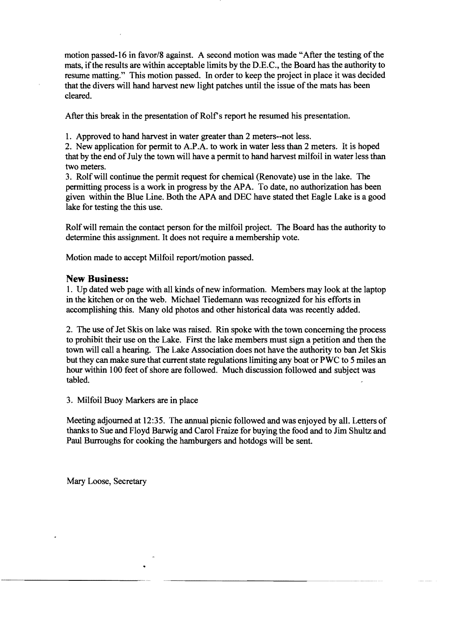motion passed-16 in favor/8 against. A second motion was made "After the testing of the mats, if the results are within acceptable limits by the D.E.C., the Board has the authority to resume matting." This motion passed. In order to keep the project in place it was decided that the divers will hand harvest new light patches until the issue of the mats has been cleared.

After this break in the presentation of Rolf's report he resumed his presentation.

1. Approved to hand harvest in water greater than 2 meters--not less.

2. New application for permit to A.P.A. to work in water less than 2 meters. It is hoped that by the end of July the town will have a permit to hand harvest milfoil in water less than two meters.

3. Rolf will continue the permit request for chemical (Renovate) use in the lake. The permitting process is a work in progress by the APA. To date, no authorization has been given within the Blue Line. Both the APA and DEC have stated thet Eagle Lake is a good lake for testing the this use.

Rolf will remain the contact person for the milfoil project. The Board has the authority to determine this assignment. It does not require a membership vote.

Motion made to accept Milfoil report/motion passed.

### **New Business:**

1. Up dated web page with all kinds ofnew information. Members may look at the laptop in the kitchen or on the web. Michael Tiedemann was recognized for his efforts in accomplishing this. Many old photos and other historical data was recently added.

2. The use of Jet Skis on lake was raised. Rin spoke with the town concerning the process to prohibit their use on the Lake. First the lake members must sign a petition and then the town will call a hearing. The Lake Association does not have the authority to ban Jet Skis but they can make sure that current state regulations limiting any boat or PWC to 5 miles an hour within 100 feet of shore are followed. Much discussion followed and subject was tabled.

3. Milfoil Buoy Markers are in place

Meeting adjourned at 12:35. The annual picnic followed and was enjoyed by all. Letters of thanks to Sue and Floyd Barwig and Carol Fraize for buying the food and to Jim Shultz and Paul Burroughs for cooking the hamburgers and hotdogs will be sent.

----------------...... \_-\_.\_.-.-..

Mary Loose, Secretary